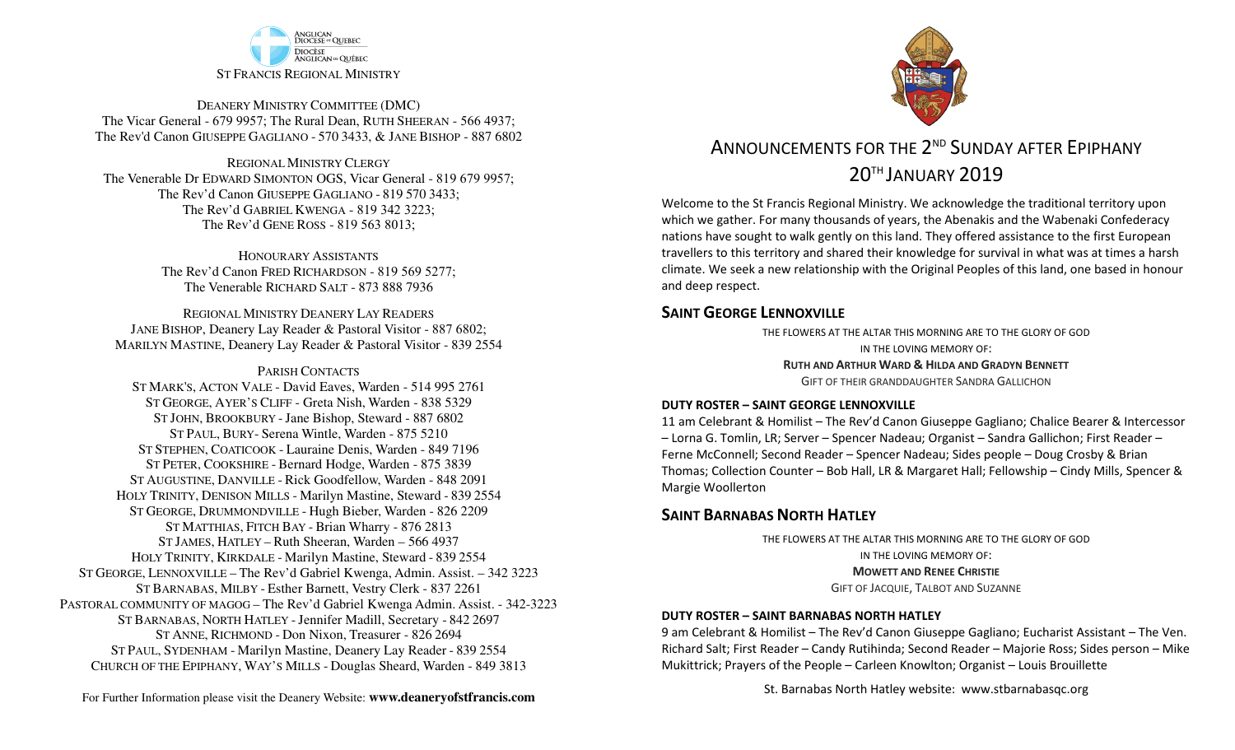

DEANERY MINISTRY COMMITTEE (DMC) The Vicar General - 679 9957; The Rural Dean, RUTH SHEERAN - 566 4937; The Rev'd Canon GIUSEPPE GAGLIANO - <sup>570</sup> 3433, & JANE BISHOP - 887 6802

REGIONAL MINISTRY CLERGY The Venerable Dr EDWARD SIMONTON OGS, Vicar General - 819 679 9957;The Rev'd Canon GIUSEPPE GAGLIANO - <sup>819</sup> <sup>570</sup> 3433; The Rev'd GABRIEL KWENGA - 819 342 3223;The Rev'd GENE ROSS - 819 563 8013;

> HONOURARY ASSISTANTS The Rev'd Canon FRED RICHARDSON - 819 569 5277;The Venerable RICHARD SALT - 873 888 7936

REGIONAL MINISTRY DEANERY LAY READERS JANE BISHOP, Deanery Lay Reader & Pastoral Visitor - 887 6802;MARILYN MASTINE, Deanery Lay Reader & Pastoral Visitor - 839 2554

#### PARISH CONTACTS

 ST MARK'S, ACTON VALE - David Eaves, Warden - 514 995 2761 ST GEORGE, AYER'S CLIFF - Greta Nish, Warden - 838 5329 ST JOHN, BROOKBURY -Jane Bishop, Steward - 887 6802 ST PAUL, BURY- Serena Wintle, Warden - 875 5210 ST STEPHEN, COATICOOK - Lauraine Denis, Warden - 849 7196 ST PETER, COOKSHIRE - Bernard Hodge, Warden - 875 3839 ST AUGUSTINE, DANVILLE - Rick Goodfellow, Warden - 848 2091 HOLY TRINITY, DENISON MILLS - Marilyn Mastine, Steward - <sup>839</sup> <sup>2554</sup> ST GEORGE, DRUMMONDVILLE - Hugh Bieber, Warden - 826 2209 ST MATTHIAS, FITCH BAY - Brian Wharry - 876 2813 ST JAMES, HATLEY – Ruth Sheeran, Warden – 566 4937 HOLY TRINITY, KIRKDALE - Marilyn Mastine, Steward - <sup>839</sup> <sup>2554</sup> ST GEORGE, LENNOXVILLE – The Rev'd Gabriel Kwenga, Admin. Assist. – 342 3223 ST BARNABAS, MILBY - Esther Barnett, Vestry Clerk - 837 2261 PASTORAL COMMUNITY OF MAGOG – The Rev'd Gabriel Kwenga Admin. Assist. - 342-3223 ST BARNABAS, NORTH HATLEY -Jennifer Madill, Secretary - <sup>842</sup> <sup>2697</sup> ST ANNE, RICHMOND - Don Nixon, Treasurer - 826 <sup>2694</sup> ST PAUL, SYDENHAM - Marilyn Mastine, Deanery Lay Reader - <sup>839</sup> <sup>2554</sup> CHURCH OF THE EPIPHANY, WAY'S MILLS - Douglas Sheard, Warden - 849 3813



# ANNOUNCEMENTS FOR THE 2<sup>ND</sup> SUNDAY AFTER FPIPHANY 20TH JANUARY 2019

Welcome to the St Francis Regional Ministry. We acknowledge the traditional territory upon which we gather. For many thousands of years, the Abenakis and the Wabenaki Confederacy nations have sought to walk gently on this land. They offered assistance to the first European travellers to this territory and shared their knowledge for survival in what was at times a harsh climate. We seek a new relationship with the Original Peoples of this land, one based in honour and deep respect.

#### **SAINT GEORGE LENNOXVILLE**

THE FLOWERS AT THE ALTAR THIS MORNING ARE TO THE GLORY OF GODIN THE LOVING MEMORY OF:**RUTH AND ARTHUR WARD & <sup>H</sup>ILDA AND GRADYN BENNETT** GIFT OF THEIR GRANDDAUGHTER SANDRA GALLICHON

#### **DUTY ROSTER – SAINT GEORGE LENNOXVILLE**

11 am Celebrant & Homilist – The Rev'd Canon Giuseppe Gagliano; Chalice Bearer & Intercessor – Lorna G. Tomlin, LR; Server – Spencer Nadeau; Organist – Sandra Gallichon; First Reader – Ferne McConnell; Second Reader – Spencer Nadeau; Sides people – Doug Crosby & Brian Thomas; Collection Counter – Bob Hall, LR & Margaret Hall; Fellowship – Cindy Mills, Spencer & Margie Woollerton

### **SAINT BARNABAS NORTH HATLEY**

THE FLOWERS AT THE ALTAR THIS MORNING ARE TO THE GLORY OF GODIN THE LOVING MEMORY OF:**MOWETT AND RENEE CHRISTIE** GIFT OF JACQUIE, TALBOT AND SUZANNE

#### **DUTY ROSTER – SAINT BARNABAS NORTH HATLEY**

9 am Celebrant & Homilist – The Rev'd Canon Giuseppe Gagliano; Eucharist Assistant – The Ven. Richard Salt; First Reader – Candy Rutihinda; Second Reader – Majorie Ross; Sides person – Mike Mukittrick; Prayers of the People – Carleen Knowlton; Organist – Louis Brouillette

St. Barnabas North Hatley website: www.stbarnabasqc.org

For Further Information please visit the Deanery Website: **www.deaneryofstfrancis.com**